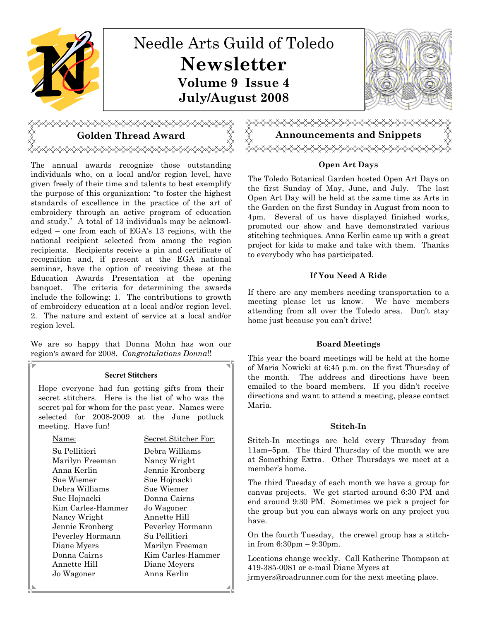

# Golden Thread Award

The annual awards recognize those outstanding individuals who, on a local and/or region level, have given freely of their time and talents to best exemplify the purpose of this organization: "to foster the highest standards of excellence in the practice of the art of embroidery through an active program of education and study." A total of 13 individuals may be acknowledged – one from each of EGA's 13 regions, with the national recipient selected from among the region recipients. Recipients receive a pin and certificate of recognition and, if present at the EGA national seminar, have the option of receiving these at the Education Awards Presentation at the opening banquet. The criteria for determining the awards include the following: 1. The contributions to growth of embroidery education at a local and/or region level. 2. The nature and extent of service at a local and/or region level.

We are so happy that Donna Mohn has won our region's award for 2008. Congratulations Donna!!

#### Secret Stitchers

Hope everyone had fun getting gifts from their secret stitchers. Here is the list of who was the secret pal for whom for the past year. Names were selected for 2008-2009 at the June potluck meeting. Have fun!

| Jame:             | Secret Stitcher For: |
|-------------------|----------------------|
| Su Pellitieri     | Debra Williams       |
| Marilyn Freeman   | Nancy Wright         |
| Anna Kerlin       | Jennie Kronberg      |
| Sue Wiemer        | Sue Hojnacki         |
| Debra Williams    | Sue Wiemer           |
| Sue Hojnacki      | Donna Cairns         |
| Kim Carles-Hammer | Jo Wagoner           |
| Nancy Wright      | Annette Hill         |
| Jennie Kronberg   | Peverley Hormann     |
| Peverley Hormann  | Su Pellitieri        |
| Diane Myers       | Marilyn Freeman      |
| Donna Cairns      | Kim Carles-Hammer    |
| Annette Hill      | Diane Meyers         |
| Jo Wagoner        | Anna Kerlin          |
|                   |                      |



#### Open Art Days

The Toledo Botanical Garden hosted Open Art Days on the first Sunday of May, June, and July. The last Open Art Day will be held at the same time as Arts in the Garden on the first Sunday in August from noon to 4pm. Several of us have displayed finished works, promoted our show and have demonstrated various stitching techniques. Anna Kerlin came up with a great project for kids to make and take with them. Thanks to everybody who has participated.

#### If You Need A Ride

If there are any members needing transportation to a meeting please let us know. We have members attending from all over the Toledo area. Don't stay home just because you can't drive!

#### Board Meetings

This year the board meetings will be held at the home of Maria Nowicki at 6:45 p.m. on the first Thursday of the month. The address and directions have been emailed to the board members. If you didn't receive directions and want to attend a meeting, please contact Maria.

#### Stitch-In

Stitch-In meetings are held every Thursday from 11am–5pm. The third Thursday of the month we are at Something Extra. Other Thursdays we meet at a member's home.

The third Tuesday of each month we have a group for canvas projects. We get started around 6:30 PM and end around 9:30 PM. Sometimes we pick a project for the group but you can always work on any project you have.

On the fourth Tuesday, the crewel group has a stitchin from 6:30pm – 9:30pm.

Locations change weekly. Call Katherine Thompson at 419-385-0081 or e-mail Diane Myers at

jrmyers@roadrunner.com for the next meeting place.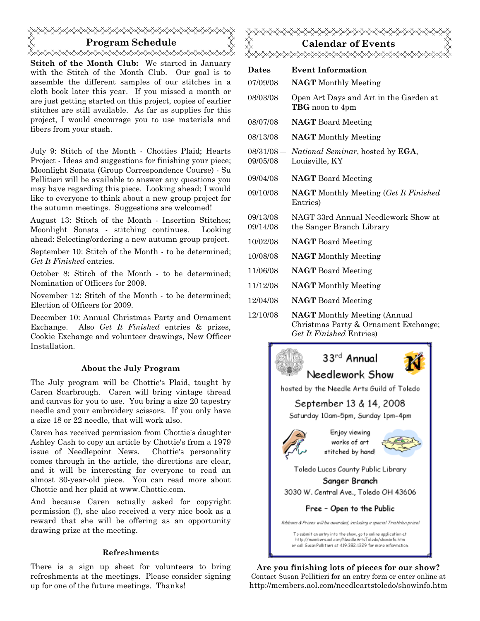## Program Schedule <del></del>

Stitch of the Month Club: We started in January with the Stitch of the Month Club. Our goal is to assemble the different samples of our stitches in a cloth book later this year. If you missed a month or are just getting started on this project, copies of earlier stitches are still available. As far as supplies for this project, I would encourage you to use materials and fibers from your stash.

July 9: Stitch of the Month - Chotties Plaid; Hearts Project - Ideas and suggestions for finishing your piece; Moonlight Sonata (Group Correspondence Course) - Su Pellitieri will be available to answer any questions you may have regarding this piece. Looking ahead: I would like to everyone to think about a new group project for the autumn meetings. Suggestions are welcomed!

August 13: Stitch of the Month - Insertion Stitches; Moonlight Sonata - stitching continues. Looking ahead: Selecting/ordering a new autumn group project.

September 10: Stitch of the Month - to be determined; Get It Finished entries.

October 8: Stitch of the Month - to be determined; Nomination of Officers for 2009.

November 12: Stitch of the Month - to be determined; Election of Officers for 2009.

December 10: Annual Christmas Party and Ornament Exchange. Also Get It Finished entries & prizes, Cookie Exchange and volunteer drawings, New Officer Installation.

#### About the July Program

The July program will be Chottie's Plaid, taught by Caren Scarbrough. Caren will bring vintage thread and canvas for you to use. You bring a size 20 tapestry needle and your embroidery scissors. If you only have a size 18 or 22 needle, that will work also.

Caren has received permission from Chottie's daughter Ashley Cash to copy an article by Chottie's from a 1979 issue of Needlepoint News. Chottie's personality comes through in the article, the directions are clear, and it will be interesting for everyone to read an almost 30-year-old piece. You can read more about Chottie and her plaid at www.Chottie.com.

And because Caren actually asked for copyright permission (!), she also received a very nice book as a reward that she will be offering as an opportunity drawing prize at the meeting.

#### Refreshments

There is a sign up sheet for volunteers to bring refreshments at the meetings. Please consider signing up for one of the future meetings. Thanks!



| Dates                    | <b>Event Information</b>                                                    |
|--------------------------|-----------------------------------------------------------------------------|
| 07/09/08                 | <b>NAGT</b> Monthly Meeting                                                 |
| 08/03/08                 | Open Art Days and Art in the Garden at<br>TBG noon to 4pm                   |
| 08/07/08                 | <b>NAGT</b> Board Meeting                                                   |
| 08/13/08                 | <b>NAGT</b> Monthly Meeting                                                 |
| $08/31/08 -$<br>09/05/08 | <i>National Seminar</i> , hosted by <b>EGA</b> ,<br>Louisville, KY          |
| 09/04/08                 | <b>NAGT</b> Board Meeting                                                   |
| 09/10/08                 | <b>NAGT</b> Monthly Meeting (Get It Finished)<br>Entries)                   |
| 09/13/08 —<br>09/14/08   | NAGT 33rd Annual Needlework Show at<br>the Sanger Branch Library            |
| 10/02/08                 | <b>NAGT</b> Board Meeting                                                   |
| 10/08/08                 | <b>NAGT</b> Monthly Meeting                                                 |
| 11/06/08                 | <b>NAGT</b> Board Meeting                                                   |
| 11/12/08                 | <b>NAGT</b> Monthly Meeting                                                 |
| 12/04/08                 | <b>NAGT</b> Board Meeting                                                   |
| 12/10/08                 | <b>NAGT</b> Monthly Meeting (Annual<br>Christmas Party & Ornament Exchange: |

Christmas Party & Ornament Exchange; Get It Finished Entries)



Are you finishing lots of pieces for our show? Contact Susan Pellitieri for an entry form or enter online at http://members.aol.com/needleartstoledo/showinfo.htm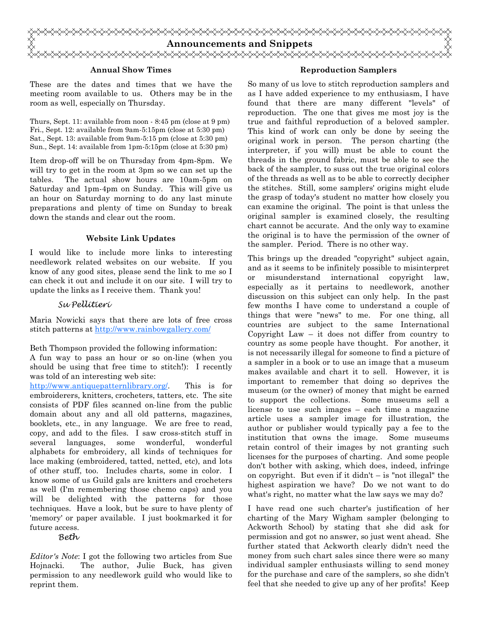

#### Annual Show Times

These are the dates and times that we have the meeting room available to us. Others may be in the room as well, especially on Thursday.

Thurs, Sept. 11: available from noon - 8:45 pm (close at 9 pm) Fri., Sept. 12: available from 9am-5:15pm (close at 5:30 pm) Sat., Sept. 13: available from 9am-5:15 pm (close at 5:30 pm) Sun., Sept. 14: available from 1pm-5:15pm (close at 5:30 pm)

Item drop-off will be on Thursday from 4pm-8pm. We will try to get in the room at 3pm so we can set up the tables. The actual show hours are 10am-5pm on Saturday and 1pm-4pm on Sunday. This will give us an hour on Saturday morning to do any last minute preparations and plenty of time on Sunday to break down the stands and clear out the room.

#### Website Link Updates

I would like to include more links to interesting needlework related websites on our website. If you know of any good sites, please send the link to me so I can check it out and include it on our site. I will try to update the links as I receive them. Thank you!

#### Su Pellitieri

Maria Nowicki says that there are lots of free cross stitch patterns at http://www.rainbowgallery.com/

Beth Thompson provided the following information:

A fun way to pass an hour or so on-line (when you should be using that free time to stitch!): I recently was told of an interesting web site:

http://www.antiquepatternlibrary.org/. This is for embroiderers, knitters, crocheters, tatters, etc. The site consists of PDF files scanned on-line from the public domain about any and all old patterns, magazines, booklets, etc., in any language. We are free to read, copy, and add to the files. I saw cross-stitch stuff in several languages, some wonderful, wonderful alphabets for embroidery, all kinds of techniques for lace making (embroidered, tatted, netted, etc), and lots of other stuff, too. Includes charts, some in color. I know some of us Guild gals are knitters and crocheters as well (I'm remembering those chemo caps) and you will be delighted with the patterns for those techniques. Have a look, but be sure to have plenty of 'memory' or paper available. I just bookmarked it for future access.

Beth

Editor's Note: I got the following two articles from Sue Hojnacki. The author, Julie Buck, has given permission to any needlework guild who would like to reprint them.

#### Reproduction Samplers

So many of us love to stitch reproduction samplers and as I have added experience to my enthusiasm, I have found that there are many different "levels" of reproduction. The one that gives me most joy is the true and faithful reproduction of a beloved sampler. This kind of work can only be done by seeing the original work in person. The person charting (the interpreter, if you will) must be able to count the threads in the ground fabric, must be able to see the back of the sampler, to suss out the true original colors of the threads as well as to be able to correctly decipher the stitches. Still, some samplers' origins might elude the grasp of today's student no matter how closely you can examine the original. The point is that unless the original sampler is examined closely, the resulting chart cannot be accurate. And the only way to examine the original is to have the permission of the owner of the sampler. Period. There is no other way.

This brings up the dreaded "copyright" subject again, and as it seems to be infinitely possible to misinterpret or misunderstand international copyright law, especially as it pertains to needlework, another discussion on this subject can only help. In the past few months I have come to understand a couple of things that were "news" to me. For one thing, all countries are subject to the same International Copyright Law – it does not differ from country to country as some people have thought. For another, it is not necessarily illegal for someone to find a picture of a sampler in a book or to use an image that a museum makes available and chart it to sell. However, it is important to remember that doing so deprives the museum (or the owner) of money that might be earned to support the collections. Some museums sell a license to use such images – each time a magazine article uses a sampler image for illustration, the author or publisher would typically pay a fee to the institution that owns the image. Some museums retain control of their images by not granting such licenses for the purposes of charting. And some people don't bother with asking, which does, indeed, infringe on copyright. But even if it didn't  $-$  is "not illegal" the highest aspiration we have? Do we not want to do what's right, no matter what the law says we may do?

I have read one such charter's justification of her charting of the Mary Wigham sampler (belonging to Ackworth School) by stating that she did ask for permission and got no answer, so just went ahead. She further stated that Ackworth clearly didn't need the money from such chart sales since there were so many individual sampler enthusiasts willing to send money for the purchase and care of the samplers, so she didn't feel that she needed to give up any of her profits! Keep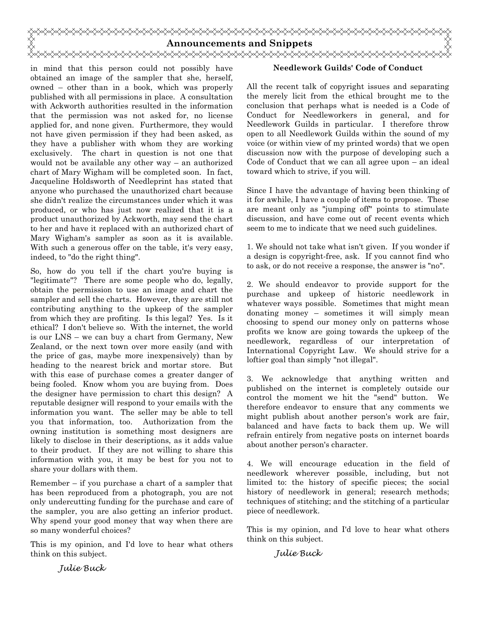

in mind that this person could not possibly have obtained an image of the sampler that she, herself, owned – other than in a book, which was properly published with all permissions in place. A consultation with Ackworth authorities resulted in the information that the permission was not asked for, no license applied for, and none given. Furthermore, they would not have given permission if they had been asked, as they have a publisher with whom they are working exclusively. The chart in question is not one that would not be available any other way – an authorized chart of Mary Wigham will be completed soon. In fact, Jacqueline Holdsworth of Needleprint has stated that anyone who purchased the unauthorized chart because she didn't realize the circumstances under which it was produced, or who has just now realized that it is a product unauthorized by Ackworth, may send the chart to her and have it replaced with an authorized chart of Mary Wigham's sampler as soon as it is available. With such a generous offer on the table, it's very easy, indeed, to "do the right thing".

So, how do you tell if the chart you're buying is "legitimate"? There are some people who do, legally, obtain the permission to use an image and chart the sampler and sell the charts. However, they are still not contributing anything to the upkeep of the sampler from which they are profiting. Is this legal? Yes. Is it ethical? I don't believe so. With the internet, the world is our LNS – we can buy a chart from Germany, New Zealand, or the next town over more easily (and with the price of gas, maybe more inexpensively) than by heading to the nearest brick and mortar store. But with this ease of purchase comes a greater danger of being fooled. Know whom you are buying from. Does the designer have permission to chart this design? A reputable designer will respond to your emails with the information you want. The seller may be able to tell you that information, too. Authorization from the owning institution is something most designers are likely to disclose in their descriptions, as it adds value to their product. If they are not willing to share this information with you, it may be best for you not to share your dollars with them.

Remember – if you purchase a chart of a sampler that has been reproduced from a photograph, you are not only undercutting funding for the purchase and care of the sampler, you are also getting an inferior product. Why spend your good money that way when there are so many wonderful choices?

This is my opinion, and I'd love to hear what others think on this subject.

#### Needlework Guilds' Code of Conduct

All the recent talk of copyright issues and separating the merely licit from the ethical brought me to the conclusion that perhaps what is needed is a Code of Conduct for Needleworkers in general, and for Needlework Guilds in particular. I therefore throw open to all Needlework Guilds within the sound of my voice (or within view of my printed words) that we open discussion now with the purpose of developing such a Code of Conduct that we can all agree upon – an ideal toward which to strive, if you will.

Since I have the advantage of having been thinking of it for awhile, I have a couple of items to propose. These are meant only as "jumping off" points to stimulate discussion, and have come out of recent events which seem to me to indicate that we need such guidelines.

1. We should not take what isn't given. If you wonder if a design is copyright-free, ask. If you cannot find who to ask, or do not receive a response, the answer is "no".

2. We should endeavor to provide support for the purchase and upkeep of historic needlework in whatever ways possible. Sometimes that might mean donating money – sometimes it will simply mean choosing to spend our money only on patterns whose profits we know are going towards the upkeep of the needlework, regardless of our interpretation of International Copyright Law. We should strive for a loftier goal than simply "not illegal".

3. We acknowledge that anything written and published on the internet is completely outside our control the moment we hit the "send" button. We therefore endeavor to ensure that any comments we might publish about another person's work are fair, balanced and have facts to back them up. We will refrain entirely from negative posts on internet boards about another person's character.

4. We will encourage education in the field of needlework wherever possible, including, but not limited to: the history of specific pieces; the social history of needlework in general; research methods; techniques of stitching; and the stitching of a particular piece of needlework.

This is my opinion, and I'd love to hear what others think on this subject.

Julie Buck

Julie Buck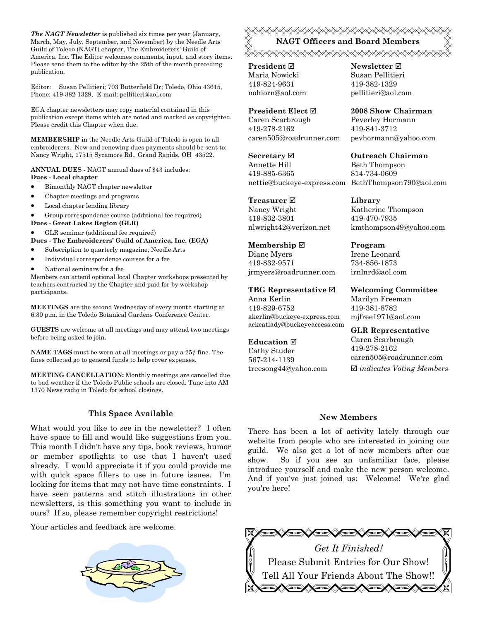The NAGT Newsletter is published six times per year (January, March, May, July, September, and November) by the Needle Arts Guild of Toledo (NAGT) chapter, The Embroiderers' Guild of America, Inc. The Editor welcomes comments, input, and story items. Please send them to the editor by the 25th of the month preceding publication.

Editor: Susan Pellitieri; 703 Butterfield Dr; Toledo, Ohio 43615, Phone: 419-382-1329, E-mail: pellitieri@aol.com

EGA chapter newsletters may copy material contained in this publication except items which are noted and marked as copyrighted. Please credit this Chapter when due.

MEMBERSHIP in the Needle Arts Guild of Toledo is open to all embroiderers. New and renewing dues payments should be sent to: Nancy Wright, 17515 Sycamore Rd., Grand Rapids, OH 43522.

ANNUAL DUES - NAGT annual dues of \$43 includes: Dues - Local chapter

- Bimonthly NAGT chapter newsletter
- Chapter meetings and programs
- Local chapter lending library

• Group correspondence course (additional fee required)

Dues - Great Lakes Region (GLR)

• GLR seminar (additional fee required)

Dues - The Embroiderers' Guild of America, Inc. (EGA)

- Subscription to quarterly magazine, Needle Arts
- Individual correspondence courses for a fee
- National seminars for a fee

Members can attend optional local Chapter workshops presented by teachers contracted by the Chapter and paid for by workshop participants.

MEETINGS are the second Wednesday of every month starting at 6:30 p.m. in the Toledo Botanical Gardens Conference Center.

GUESTS are welcome at all meetings and may attend two meetings before being asked to join.

**NAME TAGS** must be worn at all meetings or pay a  $25¢$  fine. The fines collected go to general funds to help cover expenses.

MEETING CANCELLATION: Monthly meetings are cancelled due to bad weather if the Toledo Public schools are closed. Tune into AM 1370 News radio in Toledo for school closings.

#### This Space Available

What would you like to see in the newsletter? I often have space to fill and would like suggestions from you. This month I didn't have any tips, book reviews, humor or member spotlights to use that I haven't used already. I would appreciate it if you could provide me with quick space fillers to use in future issues. I'm looking for items that may not have time constraints. I have seen patterns and stitch illustrations in other newsletters, is this something you want to include in ours? If so, please remember copyright restrictions!

Your articles and feedback are welcome.



### NAGT Officers and Board Members <del></del>

**President** ⊠ Maria Nowicki 419-824-9631 nohiorn@aol.com

President Elect Caren Scarbrough 419-278-2162 caren505@roadrunner.com

Secretary **Ø** Annette Hill 419-885-6365 nettie@buckeye-express.com BethThompson790@aol.com

Treasurer **⊠** Nancy Wright 419-832-3801 nlwright42@verizon.net

Membership ⊠ Diane Myers 419-832-9571 jrmyers@roadrunner.com

TBG Representative  $□$ Anna Kerlin 419-829-6752 akerlin@buckeye-express.com ackcatlady@buckeyeaccess.com

#### Education  $\boxtimes$

Cathy Studer 567-214-1139 treesong44@yahoo.com Newsletter **Ø** Susan Pellitieri 419-382-1329 pellitieri@aol.com

2008 Show Chairman Peverley Hormann 419-841-3712 pevhormann@yahoo.com

Outreach Chairman Beth Thompson 814-734-0609

Library Katherine Thompson 419-470-7935 kmthompson49@yahoo.com

Program Irene Leonard 734-856-1873 irnlnrd@aol.com

Welcoming Committee Marilyn Freeman 419-381-8782 mjfree1971@aol.com

GLR Representative Caren Scarbrough 419-278-2162 caren505@roadrunner.com  $\boxtimes$  indicates Voting Members

#### New Members

There has been a lot of activity lately through our website from people who are interested in joining our guild. We also get a lot of new members after our show. So if you see an unfamiliar face, please introduce yourself and make the new person welcome. And if you've just joined us: Welcome! We're glad you're here!